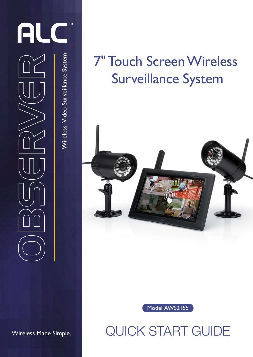

## 7" Touch Screen Wireless Surveillance System





QUICK START GUIDE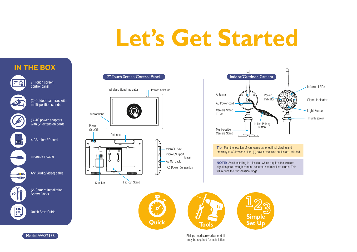## **Let's Get Started**